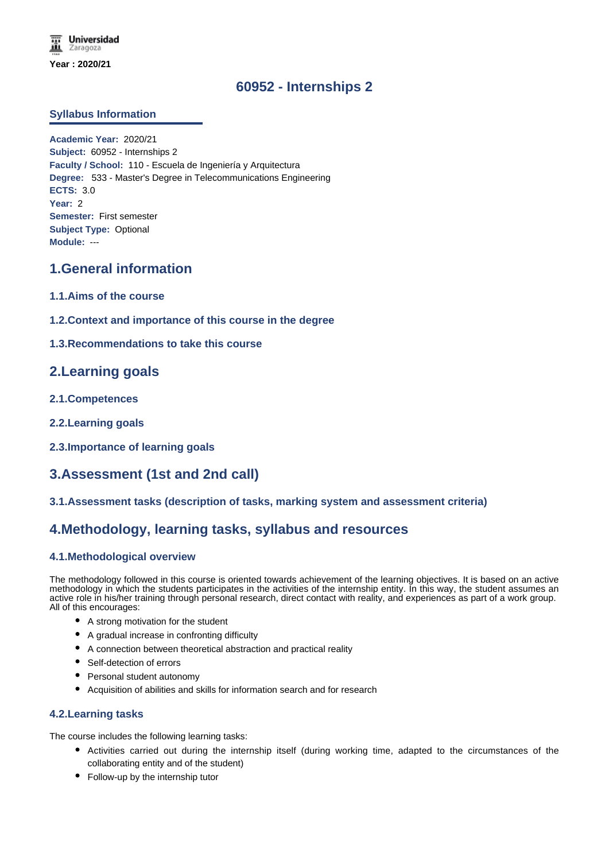# **60952 - Internships 2**

#### **Syllabus Information**

**Academic Year:** 2020/21 **Subject:** 60952 - Internships 2 **Faculty / School:** 110 - Escuela de Ingeniería y Arquitectura **Degree:** 533 - Master's Degree in Telecommunications Engineering **ECTS:** 3.0 **Year:** 2 **Semester:** First semester **Subject Type:** Optional **Module:** ---

# **1.General information**

- **1.1.Aims of the course**
- **1.2.Context and importance of this course in the degree**

### **1.3.Recommendations to take this course**

### **2.Learning goals**

- **2.1.Competences**
- **2.2.Learning goals**
- **2.3.Importance of learning goals**

# **3.Assessment (1st and 2nd call)**

**3.1.Assessment tasks (description of tasks, marking system and assessment criteria)**

# **4.Methodology, learning tasks, syllabus and resources**

#### **4.1.Methodological overview**

The methodology followed in this course is oriented towards achievement of the learning objectives. It is based on an active methodology in which the students participates in the activities of the internship entity. In this way, the student assumes an active role in his/her training through personal research, direct contact with reality, and experiences as part of a work group. All of this encourages:

- A strong motivation for the student
- A gradual increase in confronting difficulty
- A connection between theoretical abstraction and practical reality
- Self-detection of errors
- Personal student autonomy
- Acquisition of abilities and skills for information search and for research

#### **4.2.Learning tasks**

The course includes the following learning tasks:

- Activities carried out during the internship itself (during working time, adapted to the circumstances of the collaborating entity and of the student)
- Follow-up by the internship tutor